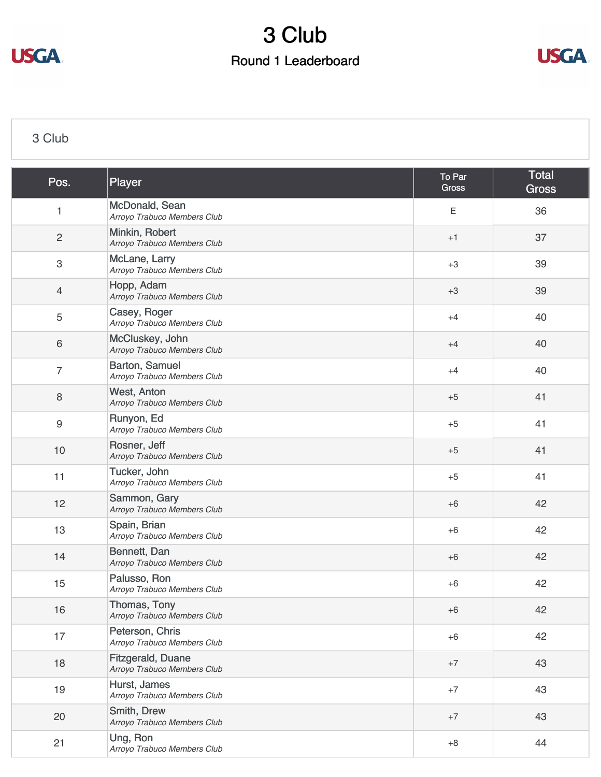



#### [3 Club](https://static.golfgenius.com/v2tournaments/8503037755125686337?called_from=&round_index=1)

| Pos.             | Player                                                  | To Par<br><b>Gross</b> | <b>Total</b><br><b>Gross</b> |
|------------------|---------------------------------------------------------|------------------------|------------------------------|
| 1                | McDonald, Sean<br>Arroyo Trabuco Members Club           | Ε                      | 36                           |
| $\mathbf{2}$     | Minkin, Robert<br>Arroyo Trabuco Members Club           | $+1$                   | 37                           |
| $\,3$            | McLane, Larry<br>Arroyo Trabuco Members Club            | $+3$                   | 39                           |
| $\overline{4}$   | Hopp, Adam<br>Arroyo Trabuco Members Club               | $+3$                   | 39                           |
| $\mathbf 5$      | Casey, Roger<br>Arroyo Trabuco Members Club             | $+4$                   | 40                           |
| $\,6$            | McCluskey, John<br>Arroyo Trabuco Members Club          | $+4$                   | 40                           |
| $\overline{7}$   | Barton, Samuel<br>Arroyo Trabuco Members Club           | $+4$                   | 40                           |
| $\,8\,$          | West, Anton<br>Arroyo Trabuco Members Club              | $+5$                   | 41                           |
| $\boldsymbol{9}$ | Runyon, Ed<br>Arroyo Trabuco Members Club               | $+5$                   | 41                           |
| 10               | Rosner, Jeff<br>Arroyo Trabuco Members Club             | $+5$                   | 41                           |
| 11               | Tucker, John<br>Arroyo Trabuco Members Club             | $+5$                   | 41                           |
| 12               | Sammon, Gary<br>Arroyo Trabuco Members Club             | $+6$                   | 42                           |
| 13               | Spain, Brian<br>Arroyo Trabuco Members Club             | $+6$                   | 42                           |
| 14               | Bennett, Dan<br>Arroyo Trabuco Members Club             | $+6$                   | 42                           |
| 15               | Palusso, Ron<br>Arroyo Trabuco Members Club             | $+6$                   | 42                           |
| 16               | Thomas, Tony<br>Arroyo Trabuco Members Club             | $+6$                   | 42                           |
| 17               | Peterson, Chris<br>Arroyo Trabuco Members Club          | $+6$                   | 42                           |
| 18               | <b>Fitzgerald, Duane</b><br>Arroyo Trabuco Members Club | $+7$                   | 43                           |
| 19               | Hurst, James<br>Arroyo Trabuco Members Club             | $+7$                   | 43                           |
| 20               | Smith, Drew<br>Arroyo Trabuco Members Club              | $+7$                   | 43                           |
| 21               | Ung, Ron<br>Arroyo Trabuco Members Club                 | $+8$                   | 44                           |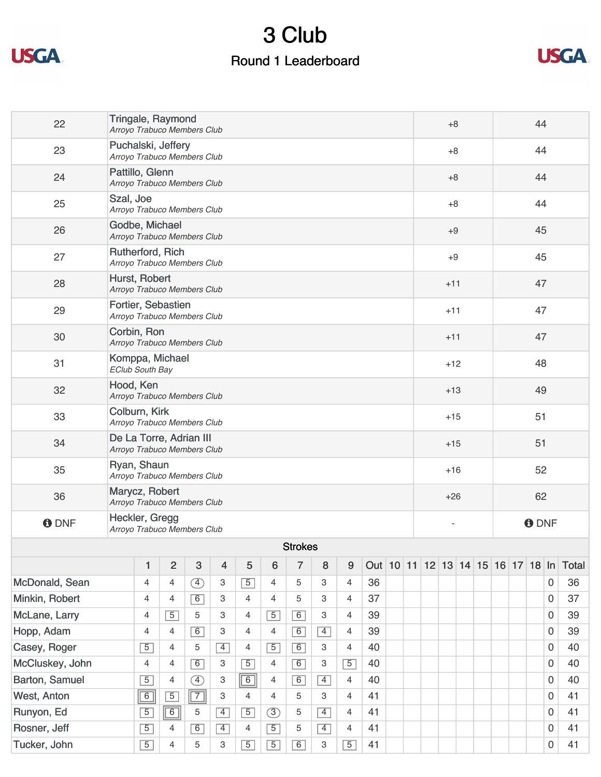



| 22              | Tringale, Raymond<br>Arroyo Trabuco Members Club       |                |                |               |                |                |                |                |                |                |                                   |       |                | $+8$  |  |    | 44          |    |    |   |              |  |  |
|-----------------|--------------------------------------------------------|----------------|----------------|---------------|----------------|----------------|----------------|----------------|----------------|----------------|-----------------------------------|-------|----------------|-------|--|----|-------------|----|----|---|--------------|--|--|
| 23              | Puchalski, Jeffery<br>Arroyo Trabuco Members Club      |                |                |               |                |                |                |                |                |                |                                   |       |                | $+8$  |  |    |             |    | 44 |   |              |  |  |
| 24              | Pattillo, Glenn<br>Arroyo Trabuco Members Club         |                |                |               |                |                |                |                |                |                |                                   |       |                | $+8$  |  |    |             |    | 44 |   |              |  |  |
| 25              | Szal, Joe<br>Arroyo Trabuco Members Club               |                |                |               |                |                |                |                |                |                |                                   |       |                | $+8$  |  |    |             |    | 44 |   |              |  |  |
| 26              | Godbe, Michael<br>Arroyo Trabuco Members Club          |                |                |               |                |                |                |                |                |                |                                   |       | $+9$           |       |  |    |             | 45 |    |   |              |  |  |
| 27              | Rutherford, Rich<br>Arroyo Trabuco Members Club        |                |                |               |                |                |                |                |                |                |                                   |       | $+9$           |       |  |    |             | 45 |    |   |              |  |  |
| 28              | Hurst, Robert<br>Arroyo Trabuco Members Club           |                |                |               |                |                |                |                |                |                |                                   |       |                | $+11$ |  |    | 47          |    |    |   |              |  |  |
| 29              | Fortier, Sebastien<br>Arroyo Trabuco Members Club      |                |                |               |                |                |                |                |                |                |                                   |       |                | $+11$ |  |    | 47          |    |    |   |              |  |  |
| 30              | Corbin, Ron<br>Arroyo Trabuco Members Club             |                |                |               |                |                |                |                |                |                |                                   |       |                | $+11$ |  |    | 47          |    |    |   |              |  |  |
| 31              | Komppa, Michael<br><b>EClub South Bay</b>              |                |                |               |                |                |                |                |                |                |                                   |       |                | $+12$ |  |    |             |    | 48 |   |              |  |  |
| 32              | Hood, Ken<br>Arroyo Trabuco Members Club               |                |                |               |                |                |                |                |                |                |                                   |       |                | $+13$ |  | 49 |             |    |    |   |              |  |  |
| 33              | Colburn, Kirk<br>Arroyo Trabuco Members Club           |                |                |               |                |                |                |                |                |                |                                   |       | $+15$          |       |  |    |             | 51 |    |   |              |  |  |
| 34              | De La Torre, Adrian III<br>Arroyo Trabuco Members Club |                |                |               |                |                |                |                |                |                |                                   | $+15$ |                |       |  |    | 51          |    |    |   |              |  |  |
| 35              | Ryan, Shaun<br>Arroyo Trabuco Members Club             |                |                |               |                |                |                |                |                |                |                                   |       | $+16$          |       |  |    |             | 52 |    |   |              |  |  |
| 36              | Marycz, Robert<br>Arroyo Trabuco Members Club          |                |                |               |                |                |                |                |                |                |                                   |       | $+26$          |       |  |    |             | 62 |    |   |              |  |  |
| <b>ODNF</b>     | Heckler, Gregg<br>Arroyo Trabuco Members Club          |                |                |               |                |                |                |                |                |                |                                   |       | $\overline{a}$ |       |  |    | <b>ODNF</b> |    |    |   |              |  |  |
|                 |                                                        |                |                |               |                |                |                | <b>Strokes</b> |                |                |                                   |       |                |       |  |    |             |    |    |   |              |  |  |
|                 |                                                        | 1              | $\overline{2}$ | 3             | $\overline{4}$ | 5              | 6              | $\overline{7}$ | 8              | 9              | Out 10 11 12 13 14 15 16 17 18 In |       |                |       |  |    |             |    |    |   | <b>Total</b> |  |  |
| McDonald, Sean  |                                                        | $\overline{4}$ | 4              | $\circled{4}$ | 3              | $\overline{5}$ | 4              | 5              | 3              | $\overline{4}$ | 36                                |       |                |       |  |    |             |    |    | 0 | 36           |  |  |
| Minkin, Robert  |                                                        | 4              | 4              | 6             | 3              | $\overline{4}$ | $\overline{4}$ | 5              | 3              | 4              | 37                                |       |                |       |  |    |             |    |    | 0 | 37           |  |  |
| McLane, Larry   |                                                        | 4              | $\overline{5}$ | 5             | 3              | $\overline{4}$ | $\overline{5}$ | 6              | 3              | $\overline{4}$ | 39                                |       |                |       |  |    |             |    |    | 0 | 39           |  |  |
| Hopp, Adam      |                                                        | $\overline{4}$ | $\overline{4}$ | 6             | 3              | $\overline{4}$ | $\overline{4}$ | 6              | $\overline{4}$ | 4              | 39                                |       |                |       |  |    |             |    |    | 0 | 39           |  |  |
| Casey, Roger    |                                                        | $\overline{5}$ | $\overline{4}$ | 5             | $\overline{4}$ | 4              | $\overline{5}$ | 6              | 3              | $\overline{4}$ | 40                                |       |                |       |  |    |             |    |    | 0 | 40           |  |  |
| McCluskey, John |                                                        | 4              | $\overline{4}$ | 6             | 3              | $\overline{5}$ | $\overline{4}$ | 6              | 3              | $\overline{5}$ | 40                                |       |                |       |  |    |             |    |    | 0 | 40           |  |  |
| Barton, Samuel  |                                                        | $\overline{5}$ | $\overline{4}$ | $\circled{4}$ | 3              | $\boxed{6}$    | 4              | 6              | $\overline{4}$ | 4              | 40                                |       |                |       |  |    |             |    |    | 0 | 40           |  |  |
| West, Anton     |                                                        | $\boxed{6}$    | $\overline{5}$ | $\boxed{7}$   | 3              | $\overline{4}$ | $\overline{4}$ | 5              | 3              | $\overline{4}$ | 41                                |       |                |       |  |    |             |    |    | 0 | 41           |  |  |
| Runyon, Ed      |                                                        | $\overline{5}$ | 6              | 5             | $\overline{4}$ | $\overline{5}$ | $\circled{3}$  | 5              | $\overline{4}$ | $\overline{4}$ | 41                                |       |                |       |  |    |             |    |    | 0 | 41           |  |  |
| Rosner, Jeff    |                                                        | $\overline{5}$ | 4              | 6             | $\overline{4}$ | $\overline{4}$ | $\overline{5}$ | 5              | $\overline{4}$ | $\overline{4}$ | 41                                |       |                |       |  |    |             |    |    | 0 | 41           |  |  |
| Tucker, John    |                                                        | $\boxed{5}$    | $\overline{4}$ | 5             | 3              | $\overline{5}$ | $\overline{5}$ | 6              | 3              | $\overline{5}$ | 41                                |       |                |       |  |    |             |    |    | 0 | 41           |  |  |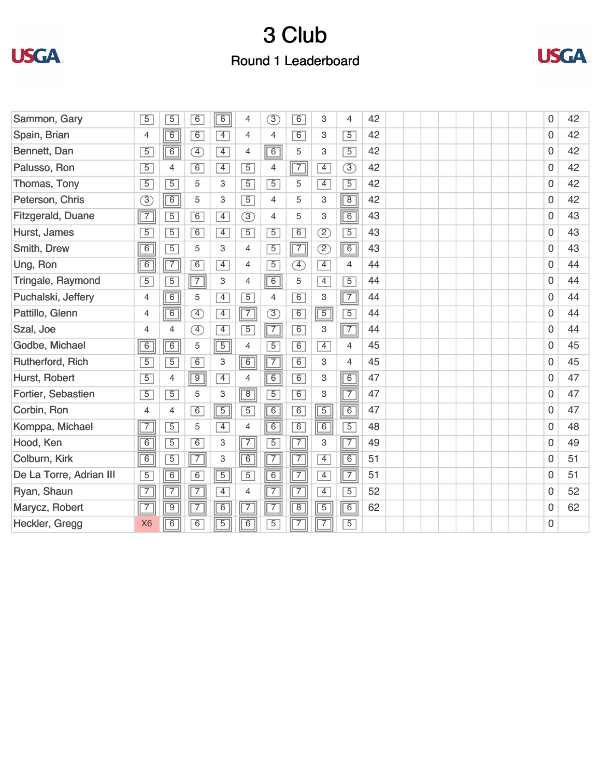



| Sammon, Gary            | $\overline{5}$ | 5              | $\overline{6}$               | $\boxed{6}$    | $\overline{4}$ | $\circled{3}$  | $\overline{6}$ | 3                          | 4              | 42 |  |  |  | 0 | 42 |
|-------------------------|----------------|----------------|------------------------------|----------------|----------------|----------------|----------------|----------------------------|----------------|----|--|--|--|---|----|
| Spain, Brian            | 4              | $\overline{6}$ | 6                            | $\overline{4}$ | $\overline{4}$ | 4              | 6              | 3                          | $\overline{5}$ | 42 |  |  |  | 0 | 42 |
| Bennett, Dan            | $\overline{5}$ | $\overline{6}$ | $\overline{4}$               | $\overline{4}$ | $\overline{4}$ | $\boxed{6}$    | 5              | 3                          | $\overline{5}$ | 42 |  |  |  | 0 | 42 |
| Palusso, Ron            | $\overline{5}$ | 4              | 6                            | $\overline{4}$ | $\overline{5}$ | 4              | $\overline{7}$ | $\overline{4}$             | $\circled{3}$  | 42 |  |  |  | 0 | 42 |
| Thomas, Tony            | $\overline{5}$ | $\overline{5}$ | 5                            | 3              | $\overline{5}$ | $\overline{5}$ | 5              | $\overline{4}$             | $\overline{5}$ | 42 |  |  |  | 0 | 42 |
| Peterson, Chris         | 3              | 6              | 5                            | 3              | $\overline{5}$ | $\overline{4}$ | 5              | 3                          | $\overline{8}$ | 42 |  |  |  | 0 | 42 |
| Fitzgerald, Duane       | $\overline{7}$ | $\overline{5}$ | 6                            | $\overline{4}$ | $\circled{3}$  | $\overline{4}$ | 5              | 3                          | $\overline{6}$ | 43 |  |  |  | 0 | 43 |
| Hurst, James            | $\overline{5}$ | $\overline{5}$ | 6                            | $\overline{4}$ | $\overline{5}$ | $\overline{5}$ | $\overline{6}$ | $\circled{2}$              | $\overline{5}$ | 43 |  |  |  | 0 | 43 |
| Smith, Drew             | $\overline{6}$ | $\overline{5}$ | 5                            | 3              | $\overline{4}$ | $\overline{5}$ | $\sqrt{7}$     | $\circled{2}$              | $\boxed{6}$    | 43 |  |  |  | 0 | 43 |
| Ung, Ron                | $\overline{6}$ | $\sqrt{7}$     | 6                            | $\overline{4}$ | $\overline{4}$ | $\overline{5}$ | F)             | $\overline{4}$             | $\overline{4}$ | 44 |  |  |  | 0 | 44 |
| Tringale, Raymond       | $\overline{5}$ | $\overline{5}$ | $\boxed{7}$                  | 3              | $\overline{4}$ | $\boxed{6}$    | 5              | $\overline{4}$             | $\overline{5}$ | 44 |  |  |  | 0 | 44 |
| Puchalski, Jeffery      | $\overline{4}$ | $\overline{6}$ | 5                            | $\overline{4}$ | $\overline{5}$ | $\overline{4}$ | $\overline{6}$ | 3                          | $\overline{7}$ | 44 |  |  |  | 0 | 44 |
| Pattillo, Glenn         | $\overline{4}$ | $\overline{6}$ | Œ                            | $\overline{4}$ | $\boxed{7}$    | $\circled{3}$  | 6              | $\boxed{5}$                | $\overline{5}$ | 44 |  |  |  | 0 | 44 |
| Szal, Joe               | 4              | $\overline{4}$ | $\left( \overline{4}\right)$ | $\overline{4}$ | $\overline{5}$ | $\boxed{7}$    | 6              | 3                          | $\overline{7}$ | 44 |  |  |  | 0 | 44 |
| Godbe, Michael          | $\overline{6}$ | 6              | 5                            | $\boxed{5}$    | $\overline{4}$ | $\overline{5}$ | 6              | $\overline{4}$             | 4              | 45 |  |  |  | 0 | 45 |
| Rutherford, Rich        | 5              | $\overline{5}$ | 6                            | 3              | 6              | $\boxed{7}$    | 6              | 3                          | 4              | 45 |  |  |  | 0 | 45 |
| Hurst, Robert           | $\overline{5}$ | 4              | $\boxed{9}$                  | $\overline{4}$ | $\overline{4}$ | $\overline{6}$ | 6              | 3                          | $\overline{6}$ | 47 |  |  |  | 0 | 47 |
| Fortier, Sebastien      | $\overline{5}$ | $\overline{5}$ | 5                            | 3              | $\boxed{8}$    | $\overline{5}$ | 6              | 3                          | $\overline{7}$ | 47 |  |  |  | 0 | 47 |
| Corbin, Ron             | 4              | 4              | 6                            | $\boxed{5}$    | $\overline{5}$ | $\boxed{6}$    | 6              | $\overline{5}$             | $\overline{6}$ | 47 |  |  |  | 0 | 47 |
| Komppa, Michael         | $\overline{7}$ | $\overline{5}$ | 5                            | $\overline{4}$ | 4              | $\boxed{6}$    | $\overline{6}$ | 6                          | $\overline{5}$ | 48 |  |  |  | 0 | 48 |
| Hood, Ken               | $\overline{6}$ | $\overline{5}$ | $\overline{6}$               | 3              | $\overline{7}$ | $\overline{5}$ | $\sqrt{7}$     | 3                          | $\overline{7}$ | 49 |  |  |  | 0 | 49 |
| Colburn, Kirk           | $\overline{6}$ | $\overline{5}$ | $\boxed{7}$                  | 3              | $\boxed{6}$    | $\boxed{7}$    | $\overline{7}$ | $\overline{4}$             | $\overline{6}$ | 51 |  |  |  | 0 | 51 |
| De La Torre, Adrian III | $\overline{5}$ | $\overline{6}$ | 6                            | $\boxed{5}$    | $\overline{5}$ | 6              | $\overline{7}$ | $\overline{4}$             | $\overline{7}$ | 51 |  |  |  | 0 | 51 |
| Ryan, Shaun             | $\overline{7}$ | $\overline{7}$ | $\sqrt{7}$                   | $\overline{4}$ | $\overline{4}$ | $\sqrt{7}$     | $\sqrt{7}$     | $\overline{4}$             | $\overline{5}$ | 52 |  |  |  | 0 | 52 |
| Marycz, Robert          | $\overline{7}$ | $\overline{9}$ | $\sqrt{7}$                   | 6              | $\boxed{7}$    | $\boxed{7}$    | $\overline{8}$ | $\overline{5}$             | 6              | 62 |  |  |  | 0 | 62 |
| Heckler, Gregg          | X <sub>6</sub> | $\overline{6}$ | $\overline{6}$               | $\overline{5}$ | $\boxed{6}$    | $\overline{5}$ | $\overline{7}$ | $(\frac{\overline{7}}{7})$ | $\overline{5}$ |    |  |  |  | 0 |    |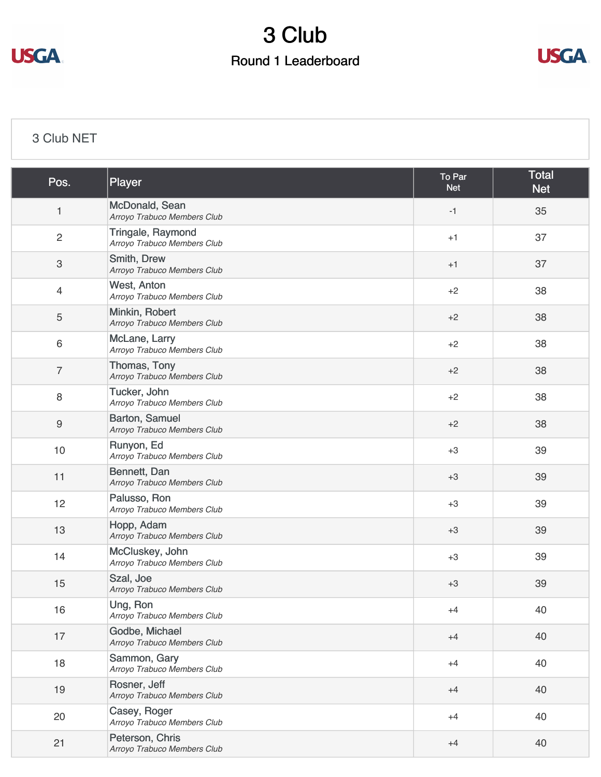



### [3 Club NET](https://static.golfgenius.com/v2tournaments/8506923673762947421?called_from=&round_index=1)

| Pos.                      | Player                                           | To Par<br><b>Net</b> | <b>Total</b><br><b>Net</b> |
|---------------------------|--------------------------------------------------|----------------------|----------------------------|
| $\mathbf{1}$              | McDonald, Sean<br>Arroyo Trabuco Members Club    | $-1$                 | 35                         |
| $\overline{c}$            | Tringale, Raymond<br>Arroyo Trabuco Members Club | $+1$                 | 37                         |
| $\ensuremath{\mathsf{3}}$ | Smith, Drew<br>Arroyo Trabuco Members Club       | $+1$                 | 37                         |
| $\overline{4}$            | West, Anton<br>Arroyo Trabuco Members Club       | $+2$                 | 38                         |
| $\sqrt{5}$                | Minkin, Robert<br>Arroyo Trabuco Members Club    | $+2$                 | 38                         |
| 6                         | McLane, Larry<br>Arroyo Trabuco Members Club     | $+2$                 | 38                         |
| 7                         | Thomas, Tony<br>Arroyo Trabuco Members Club      | $+2$                 | 38                         |
| 8                         | Tucker, John<br>Arroyo Trabuco Members Club      | $+2$                 | 38                         |
| $\boldsymbol{9}$          | Barton, Samuel<br>Arroyo Trabuco Members Club    | $+2$                 | 38                         |
| 10                        | Runyon, Ed<br>Arroyo Trabuco Members Club        | $+3$                 | 39                         |
| 11                        | Bennett, Dan<br>Arroyo Trabuco Members Club      | $+3$                 | 39                         |
| 12                        | Palusso, Ron<br>Arroyo Trabuco Members Club      | $+3$                 | 39                         |
| 13                        | Hopp, Adam<br>Arroyo Trabuco Members Club        | $+3$                 | 39                         |
| 14                        | McCluskey, John<br>Arroyo Trabuco Members Club   | $+3$                 | 39                         |
| 15                        | Szal, Joe<br>Arroyo Trabuco Members Club         | $+3$                 | 39                         |
| 16                        | Ung, Ron<br>Arroyo Trabuco Members Club          | $+4$                 | 40                         |
| 17                        | Godbe, Michael<br>Arroyo Trabuco Members Club    | $+4$                 | 40                         |
| 18                        | Sammon, Gary<br>Arroyo Trabuco Members Club      | $+4$                 | 40                         |
| 19                        | Rosner, Jeff<br>Arroyo Trabuco Members Club      | $+4$                 | 40                         |
| 20                        | Casey, Roger<br>Arroyo Trabuco Members Club      | $+4$                 | 40                         |
| 21                        | Peterson, Chris<br>Arroyo Trabuco Members Club   | $+4$                 | 40                         |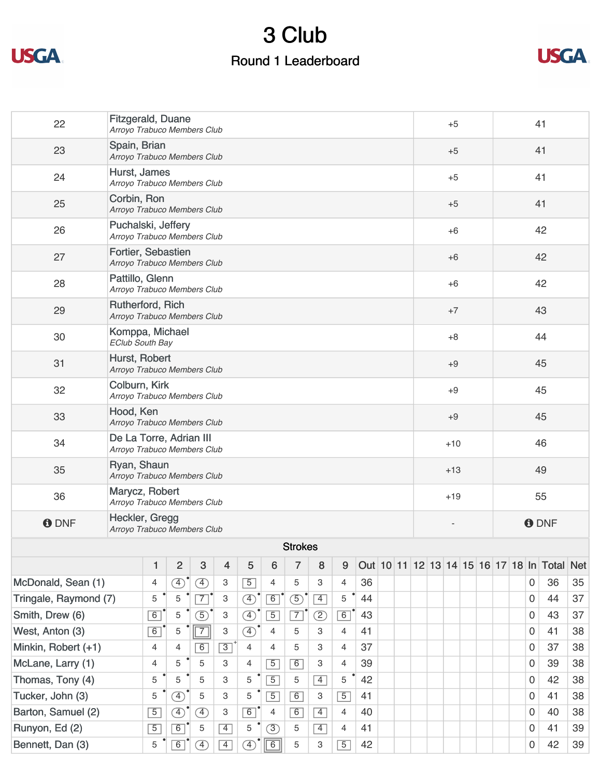



| 22                    | Fitzgerald, Duane<br>Arroyo Trabuco Members Club                                                  |                                                        |                                                   |                |                         |                |                                                       |                |                 |                |    |  |         |       |      | $+5$  |  |   | 41           |    |             |                                         |            |  |  |  |
|-----------------------|---------------------------------------------------------------------------------------------------|--------------------------------------------------------|---------------------------------------------------|----------------|-------------------------|----------------|-------------------------------------------------------|----------------|-----------------|----------------|----|--|---------|-------|------|-------|--|---|--------------|----|-------------|-----------------------------------------|------------|--|--|--|
| 23                    | Spain, Brian<br>Arroyo Trabuco Members Club                                                       |                                                        |                                                   |                |                         |                |                                                       |                |                 |                |    |  |         |       |      | $+5$  |  |   |              |    | 41          |                                         |            |  |  |  |
| 24                    | Hurst, James<br>Arroyo Trabuco Members Club                                                       |                                                        |                                                   |                |                         |                |                                                       |                |                 |                |    |  |         |       |      | $+5$  |  |   |              |    | 41          |                                         |            |  |  |  |
| 25                    | Corbin, Ron<br>Arroyo Trabuco Members Club                                                        |                                                        |                                                   |                |                         |                |                                                       |                |                 |                |    |  |         |       |      | $+5$  |  |   |              |    | 41          |                                         |            |  |  |  |
| 26                    |                                                                                                   |                                                        | Puchalski, Jeffery<br>Arroyo Trabuco Members Club |                |                         |                |                                                       |                |                 |                |    |  |         |       | $+6$ |       |  |   |              | 42 |             |                                         |            |  |  |  |
| 27                    |                                                                                                   |                                                        | Fortier, Sebastien<br>Arroyo Trabuco Members Club |                |                         |                |                                                       |                |                 |                |    |  |         |       |      | $+6$  |  |   | 42           |    |             |                                         |            |  |  |  |
| 28                    | Pattillo, Glenn                                                                                   |                                                        | Arroyo Trabuco Members Club                       |                |                         |                |                                                       |                |                 |                |    |  |         |       |      | $+6$  |  |   |              |    |             | 42                                      |            |  |  |  |
| 29                    | Rutherford, Rich<br>Arroyo Trabuco Members Club                                                   |                                                        |                                                   |                |                         |                |                                                       |                |                 |                |    |  |         |       |      | $+7$  |  |   |              |    |             | 43                                      |            |  |  |  |
| 30                    | Komppa, Michael<br><b>EClub South Bay</b>                                                         |                                                        |                                                   |                |                         |                |                                                       |                |                 |                |    |  |         |       |      | $+8$  |  |   |              |    |             | 44                                      |            |  |  |  |
| 31                    | Hurst, Robert<br>Arroyo Trabuco Members Club                                                      |                                                        |                                                   |                |                         |                |                                                       |                |                 |                |    |  |         | $+9$  |      |       |  |   |              |    |             | 45                                      |            |  |  |  |
| 32                    |                                                                                                   | Colburn, Kirk<br>$+9$<br>Arroyo Trabuco Members Club   |                                                   |                |                         |                |                                                       |                |                 |                |    |  |         |       |      | 45    |  |   |              |    |             |                                         |            |  |  |  |
| 33                    | Hood, Ken                                                                                         | Arroyo Trabuco Members Club                            |                                                   |                |                         |                |                                                       |                |                 |                |    |  |         | $+9$  |      |       |  |   |              |    |             | 45                                      |            |  |  |  |
| 34                    |                                                                                                   | De La Torre, Adrian III<br>Arroyo Trabuco Members Club |                                                   |                |                         |                |                                                       |                |                 |                |    |  | $+10$   |       |      |       |  |   | 46           |    |             |                                         |            |  |  |  |
| 35                    | Ryan, Shaun<br>Arroyo Trabuco Members Club                                                        |                                                        |                                                   |                |                         |                |                                                       |                |                 |                |    |  |         |       |      | $+13$ |  |   | 49           |    |             |                                         |            |  |  |  |
| 36                    | Marycz, Robert<br>Arroyo Trabuco Members Club                                                     |                                                        |                                                   |                |                         |                |                                                       |                |                 |                |    |  |         | $+19$ |      |       |  |   | 55           |    |             |                                         |            |  |  |  |
| <b>O</b> DNF          | Heckler, Gregg<br>Arroyo Trabuco Members Club                                                     |                                                        |                                                   |                |                         |                |                                                       |                |                 |                |    |  |         |       |      |       |  |   | <b>O</b> DNF |    |             |                                         |            |  |  |  |
|                       |                                                                                                   |                                                        |                                                   |                |                         |                |                                                       | <b>Strokes</b> |                 |                |    |  |         |       |      |       |  |   |              |    |             |                                         |            |  |  |  |
|                       |                                                                                                   | $\mathbf{1}$                                           | $\overline{2}$                                    | 3              | $\overline{\mathbf{4}}$ | 5              | 6                                                     | $\overline{7}$ | 8               | 9              |    |  |         |       |      |       |  |   |              |    |             | Out 10 11 12 13 14 15 16 17 18 In Total | <b>Net</b> |  |  |  |
| McDonald, Sean (1)    |                                                                                                   | 4                                                      | $\circled{4}$                                     | $\circled{4}$  | 3                       | $\overline{5}$ | 4                                                     | 5              | 3               | 4              | 36 |  |         |       |      |       |  |   |              |    | $\mathbf 0$ | 36                                      | 35         |  |  |  |
| Tringale, Raymond (7) |                                                                                                   | 5                                                      | 5                                                 | $\overline{7}$ | 3                       | $\circled{4}$  | $\boxed{6}$                                           | $\circled{5}$  | $\vert 4 \vert$ | 5              | 44 |  |         |       |      |       |  |   |              |    | $\Omega$    | 44                                      | 37         |  |  |  |
| Smith, Drew (6)       |                                                                                                   | 6                                                      | 5                                                 | $\circled{5}$  | 3                       | $\bigoplus$    | $\overline{5}$                                        | $\overline{7}$ | Z)              | 6              | 43 |  | 0       |       |      |       |  |   |              | 43 | 37          |                                         |            |  |  |  |
| West, Anton (3)       |                                                                                                   | $\boxed{6}$                                            | 5                                                 | $\boxed{7}$    | 3                       | $\circled{4}$  | 5<br>41<br>$\Omega$<br>41<br>$\overline{4}$<br>3<br>4 |                |                 |                |    |  |         |       | 38   |       |  |   |              |    |             |                                         |            |  |  |  |
| Minkin, Robert (+1)   |                                                                                                   | $\overline{4}$                                         | 4                                                 | 6              | $\boxed{3}$             | $\overline{4}$ | $\overline{4}$                                        | 5              | 3               | $\overline{4}$ | 37 |  | 37<br>0 |       |      |       |  |   |              | 38 |             |                                         |            |  |  |  |
| McLane, Larry (1)     |                                                                                                   | $\overline{4}$                                         | 5                                                 | 5              | З                       | $\overline{4}$ | $\overline{5}$                                        | $\overline{6}$ | 3               | 4              | 39 |  | 39<br>0 |       |      |       |  |   |              | 38 |             |                                         |            |  |  |  |
| Thomas, Tony (4)      |                                                                                                   | 5                                                      | 5                                                 | 5              | 3                       | 5              | $\overline{5}$                                        | 5              | $\overline{4}$  | 5              | 42 |  |         |       |      |       |  |   |              |    | 0           | 42                                      | 38         |  |  |  |
| Tucker, John (3)      |                                                                                                   | 5                                                      | $\bigoplus$                                       | 5              | 3                       | 5              | $\overline{5}$                                        | $\overline{6}$ | 3               | $\overline{5}$ | 41 |  |         |       |      |       |  |   |              |    | 0           | 41                                      | 38         |  |  |  |
| Barton, Samuel (2)    |                                                                                                   | $\boxed{5}$                                            | $\circled{4}$                                     | <sup>4</sup>   | 3                       | $\overline{6}$ | 4                                                     | $\overline{6}$ | $\overline{4}$  | $\overline{4}$ | 40 |  |         |       |      |       |  |   |              |    | $\Omega$    | 40                                      | 38         |  |  |  |
| Runyon, Ed (2)        | $\sqrt{5}$<br>6<br>$\overline{4}$<br>$\overline{4}$<br>5<br>(3)<br>5<br>41<br>5<br>$\overline{4}$ |                                                        |                                                   |                |                         |                |                                                       |                |                 |                |    |  |         |       |      |       |  | 0 | 41           | 39 |             |                                         |            |  |  |  |

[Bennett, Dan \(3\)](https://static.golfgenius.com/tournaments2/nets/8507018962578465166?event_id=8506923673762947421)  $5 \cdot 5 \cdot 6 \cdot (4)$  4 4  $(4) \cdot 6$  5 42 42 42 6 42 39

 $3 | 5 | 42$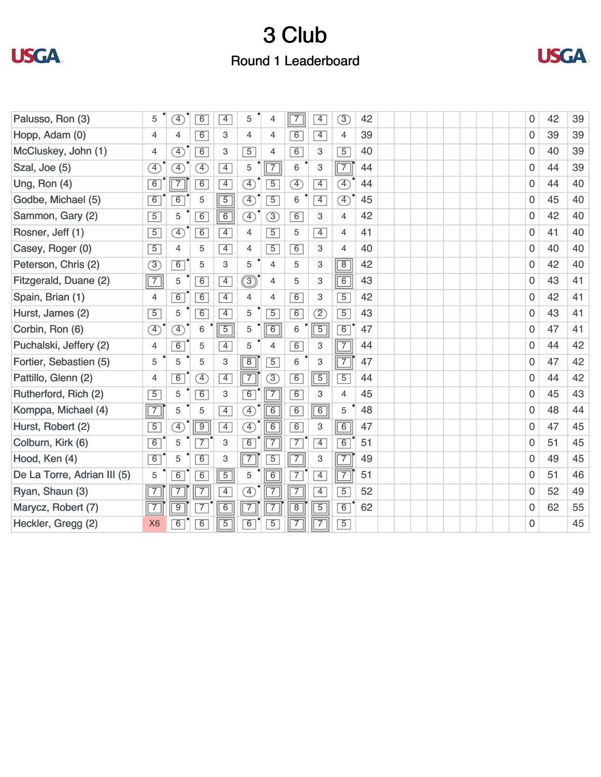



| Palusso, Ron (3)            | 5              | $\left( \overline{4}\right)$ | $\overline{6}$ | $\overline{4}$ | 5                            | 4              | $\sqrt{7}$     | $\overline{4}$ | 3                            | 42 |  | 0              | 42 | 39 |
|-----------------------------|----------------|------------------------------|----------------|----------------|------------------------------|----------------|----------------|----------------|------------------------------|----|--|----------------|----|----|
| Hopp, Adam (0)              | 4              | 4                            | $\overline{6}$ | З              | 4                            | 4              | $\overline{6}$ | $\overline{4}$ | 4                            | 39 |  | 0              | 39 | 39 |
| McCluskey, John (1)         | $\overline{4}$ | $\left( \overline{4}\right)$ | 6              | 3              | $\overline{5}$               | 4              | 6              | 3              | $\overline{5}$               | 40 |  | 0              | 40 | 39 |
| Szal, Joe (5)               | $\circled{4}$  | F)                           | F)             | $\overline{4}$ | 5                            | $\overline{7}$ | 6              | 3              | $\sqrt{7}$                   | 44 |  | $\overline{0}$ | 44 | 39 |
| Ung, Ron (4)                | $\overline{6}$ | $\overline{7}$               | $\overline{6}$ | $\overline{4}$ | Ð                            | $\overline{5}$ | A)             | $\overline{4}$ | $\left( \overline{4}\right)$ | 44 |  | $\Omega$       | 44 | 40 |
| Godbe, Michael (5)          | $\overline{6}$ | 6                            | 5              | $\overline{5}$ | $\circled{4}$                | $\overline{5}$ | 6              | $\overline{4}$ | $\mathcal{F}$                | 45 |  | 0              | 45 | 40 |
| Sammon, Gary (2)            | $\overline{5}$ | 5                            | $\overline{6}$ | $\boxed{6}$    | $\overline{4}$               | $\circled{3}$  | 6              | 3              | 4                            | 42 |  | $\Omega$       | 42 | 40 |
| Rosner, Jeff (1)            | $\overline{5}$ | $\circled{4}$                | 6              | $\overline{4}$ | $\overline{4}$               | $\overline{5}$ | 5              | $\overline{4}$ | $\overline{4}$               | 41 |  | 0              | 41 | 40 |
| Casey, Roger (0)            | $\overline{5}$ | $\overline{4}$               | 5              | $\boxed{4}$    | 4                            | $\overline{5}$ | $\overline{6}$ | 3              | $\overline{4}$               | 40 |  | 0              | 40 | 40 |
| Peterson, Chris (2)         | $\circled{3}$  | 6                            | 5              | 3              | 5                            | $\overline{4}$ | 5              | 3              | $\overline{8}$               | 42 |  | 0              | 42 | 40 |
| Fitzgerald, Duane (2)       | $\sqrt{7}$     | 5                            | $\overline{6}$ | $\overline{4}$ |                              | $\overline{4}$ | 5              | З              | $\overline{6}$               | 43 |  | 0              | 43 | 41 |
| Spain, Brian (1)            | 4              | 6                            | $\overline{6}$ | $\overline{4}$ | 4                            | 4              | 6              | 3              | $\overline{5}$               | 42 |  | 0              | 42 | 41 |
| Hurst, James (2)            | $\overline{5}$ | 5                            | 6              | $\overline{4}$ | 5                            | $\overline{5}$ | $\overline{6}$ | Z              | $\overline{5}$               | 43 |  | $\overline{0}$ | 43 | 41 |
| Corbin, Ron (6)             | $\circled{4}$  | $\circled{4}$                | 6              | $\overline{5}$ | 5                            | $\boxed{6}$    | 6              | $\overline{5}$ | 6                            | 47 |  | 0              | 47 | 41 |
| Puchalski, Jeffery (2)      | $\overline{4}$ | 6                            | 5              | $\overline{4}$ | 5                            | $\overline{4}$ | 6              | 3              | $\overline{7}$               | 44 |  | 0              | 44 | 42 |
| Fortier, Sebastien (5)      | 5              | 5                            | 5              | 3              | $\overline{8}$               | $\overline{5}$ | 6              | $\,3$          | $\sqrt{7}$                   | 47 |  | 0              | 47 | 42 |
| Pattillo, Glenn (2)         | $\overline{4}$ | $\overline{6}$               | Ŧ,             | $\overline{4}$ | $\overline{7}$               | 3              | 6              | $\overline{5}$ | $\overline{5}$               | 44 |  | 0              | 44 | 42 |
| Rutherford, Rich (2)        | $\overline{5}$ | 5                            | 6              | 3              | $\overline{6}$               | $\overline{7}$ | 6              | 3              | $\overline{4}$               | 45 |  | $\overline{0}$ | 45 | 43 |
| Komppa, Michael (4)         | $\sqrt{7}$     | 5                            | 5              | $\overline{4}$ | $\overline{4}$               | $\overline{6}$ | 6              | $\boxed{6}$    | 5                            | 48 |  | $\overline{0}$ | 48 | 44 |
| Hurst, Robert (2)           | $\overline{5}$ | $\left( \overline{4}\right)$ | $\sqrt{9}$     | $\overline{4}$ | $\left( \overline{4}\right)$ | $\overline{6}$ | 6              | 3              | $\overline{6}$               | 47 |  | 0              | 47 | 45 |
| Colburn, Kirk (6)           | 6              | 5                            | $\overline{7}$ | 3              | $\boxed{6}$                  | $\overline{7}$ | $\overline{7}$ | $\overline{4}$ | $\overline{6}$               | 51 |  | $\overline{0}$ | 51 | 45 |
| Hood, Ken (4)               | 6              | 5                            | 6              | 3              | $\overline{7}$               | $\overline{5}$ | $\overline{7}$ | 3              | $\sqrt{7}$                   | 49 |  | 0              | 49 | 45 |
| De La Torre, Adrian III (5) | 5              | 6                            | $\overline{6}$ | $\overline{5}$ | 5                            | $\overline{6}$ | $\overline{7}$ | $\overline{4}$ | $\overline{7}$               | 51 |  | 0              | 51 | 46 |
| Ryan, Shaun (3)             | $\overline{7}$ | 7                            | $\overline{7}$ | $\overline{4}$ | Ŧ,                           | $\overline{7}$ | $\overline{7}$ | $\overline{4}$ | $\overline{5}$               | 52 |  | 0              | 52 | 49 |
| Marycz, Robert (7)          | $\sqrt{7}$     | $\overline{9}$               | $\overline{7}$ | $\overline{6}$ | $\overline{7}$               | $\overline{7}$ | $\overline{8}$ | $\overline{5}$ | 6                            | 62 |  | 0              | 62 | 55 |
| Heckler, Gregg (2)          | X <sub>6</sub> | $\overline{6}$               | $\overline{6}$ | $\overline{5}$ | $\overline{6}$               | $\overline{5}$ | $\overline{7}$ | $\overline{7}$ | $\overline{5}$               |    |  | $\Omega$       |    | 45 |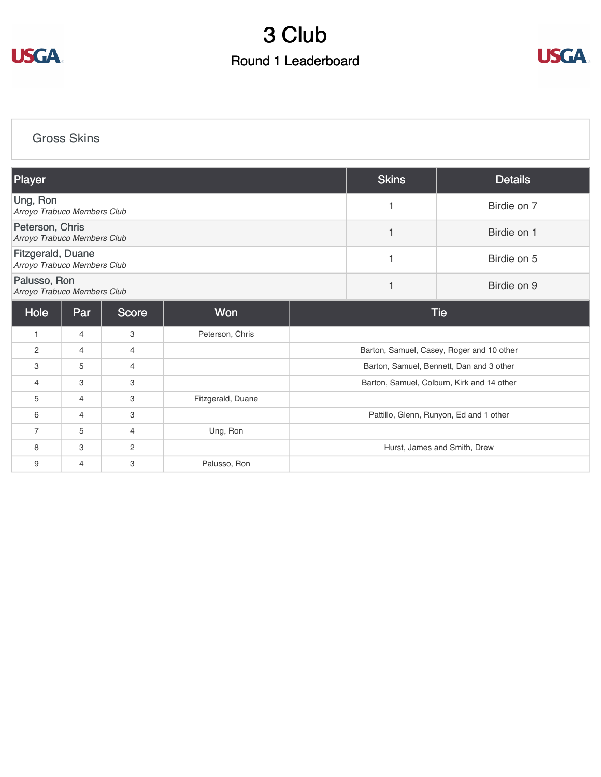



[Gross Skins](https://static.golfgenius.com/v2tournaments/8506926824054350174?called_from=&round_index=1)

| Player                                                  |                |                |                   |                  | <b>Skins</b> | <b>Details</b>                             |  |  |  |  |
|---------------------------------------------------------|----------------|----------------|-------------------|------------------|--------------|--------------------------------------------|--|--|--|--|
| Ung, Ron<br>Arroyo Trabuco Members Club                 |                |                |                   |                  |              | Birdie on 7                                |  |  |  |  |
| Peterson, Chris<br>Arroyo Trabuco Members Club          |                |                |                   | Birdie on 1      |              |                                            |  |  |  |  |
| <b>Fitzgerald, Duane</b><br>Arroyo Trabuco Members Club |                |                |                   | 1                | Birdie on 5  |                                            |  |  |  |  |
| Palusso, Ron<br>Arroyo Trabuco Members Club             |                |                |                   | 1<br>Birdie on 9 |              |                                            |  |  |  |  |
| Hole                                                    | Par            | <b>Score</b>   | <b>Won</b>        |                  |              | <b>Tie</b>                                 |  |  |  |  |
| 1                                                       | 4              | 3              | Peterson, Chris   |                  |              |                                            |  |  |  |  |
| $\overline{2}$                                          | 4              | 4              |                   |                  |              | Barton, Samuel, Casey, Roger and 10 other  |  |  |  |  |
| 3                                                       | 5              | 4              |                   |                  |              | Barton, Samuel, Bennett, Dan and 3 other   |  |  |  |  |
| 4                                                       | 3              | 3              |                   |                  |              | Barton, Samuel, Colburn, Kirk and 14 other |  |  |  |  |
| 5                                                       | $\overline{4}$ | 3              | Fitzgerald, Duane |                  |              |                                            |  |  |  |  |
| 6                                                       | $\overline{4}$ | 3              |                   |                  |              | Pattillo, Glenn, Runyon, Ed and 1 other    |  |  |  |  |
| $\overline{7}$                                          | 5              | $\overline{4}$ | Ung, Ron          |                  |              |                                            |  |  |  |  |
| 8                                                       | 3              | 2              |                   |                  |              | Hurst, James and Smith, Drew               |  |  |  |  |
| 9                                                       | $\overline{4}$ | З              | Palusso, Ron      |                  |              |                                            |  |  |  |  |